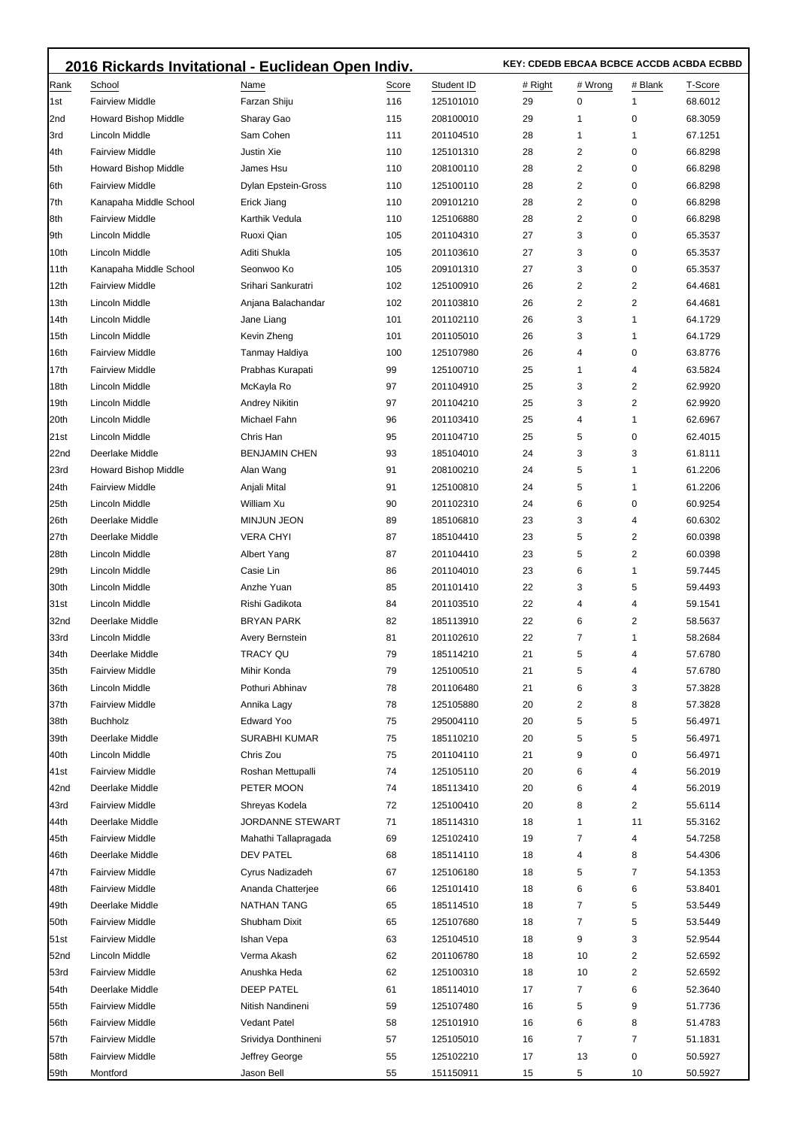|      | 2016 Rickards Invitational - Euclidean Open Indiv. |                       |       |            | KEY: CDEDB EBCAA BCBCE ACCDB ACBDA ECBBD |                |           |         |  |
|------|----------------------------------------------------|-----------------------|-------|------------|------------------------------------------|----------------|-----------|---------|--|
| Rank | School                                             | Name                  | Score | Student ID | # Right                                  | # Wrong        | # Blank   | T-Score |  |
| 1st  | <b>Fairview Middle</b>                             | Farzan Shiju          | 116   | 125101010  | 29                                       | 0              | 1         | 68.6012 |  |
| 2nd  | Howard Bishop Middle                               | Sharay Gao            | 115   | 208100010  | 29                                       | 1              | 0         | 68.3059 |  |
| 3rd  | Lincoln Middle                                     | Sam Cohen             | 111   | 201104510  | 28                                       | 1              | 1         | 67.1251 |  |
| 4th  | <b>Fairview Middle</b>                             | Justin Xie            | 110   | 125101310  | 28                                       | 2              | 0         | 66.8298 |  |
| 5th  | Howard Bishop Middle                               | James Hsu             | 110   | 208100110  | 28                                       | 2              | 0         | 66.8298 |  |
| 6th  | <b>Fairview Middle</b>                             | Dylan Epstein-Gross   | 110   | 125100110  | 28                                       | 2              | 0         | 66.8298 |  |
| 7th  | Kanapaha Middle School                             | Erick Jiang           | 110   | 209101210  | 28                                       | 2              | 0         | 66.8298 |  |
| 8th  | <b>Fairview Middle</b>                             | Karthik Vedula        | 110   | 125106880  | 28                                       | $\overline{2}$ | 0         | 66.8298 |  |
| 9th  | <b>Lincoln Middle</b>                              | Ruoxi Qian            | 105   | 201104310  | 27                                       | 3              | 0         | 65.3537 |  |
| 10th | Lincoln Middle                                     | Aditi Shukla          | 105   | 201103610  | 27                                       | 3              | 0         | 65.3537 |  |
| 11th | Kanapaha Middle School                             | Seonwoo Ko            | 105   | 209101310  | 27                                       | 3              | 0         | 65.3537 |  |
| 12th | <b>Fairview Middle</b>                             | Srihari Sankuratri    | 102   | 125100910  | 26                                       | 2              | 2         | 64.4681 |  |
| 13th | Lincoln Middle                                     | Anjana Balachandar    | 102   | 201103810  | 26                                       | 2              | 2         | 64.4681 |  |
| 14th | Lincoln Middle                                     | Jane Liang            | 101   | 201102110  | 26                                       | 3              | 1         | 64.1729 |  |
| 15th | Lincoln Middle                                     | Kevin Zheng           | 101   | 201105010  | 26                                       | 3              | 1         | 64.1729 |  |
| 16th | <b>Fairview Middle</b>                             | Tanmay Haldiya        | 100   | 125107980  | 26                                       | 4              | 0         | 63.8776 |  |
| 17th | <b>Fairview Middle</b>                             | Prabhas Kurapati      | 99    | 125100710  | 25                                       | 1              | 4         | 63.5824 |  |
| 18th | Lincoln Middle                                     | McKayla Ro            | 97    | 201104910  | 25                                       | 3              | 2         | 62.9920 |  |
| 19th | Lincoln Middle                                     | <b>Andrey Nikitin</b> | 97    | 201104210  | 25                                       | 3              | 2         | 62.9920 |  |
| 20th | Lincoln Middle                                     | Michael Fahn          | 96    | 201103410  | 25                                       | 4              | 1         | 62.6967 |  |
| 21st | Lincoln Middle                                     | Chris Han             | 95    | 201104710  | 25                                       | 5              | 0         | 62.4015 |  |
| 22nd | Deerlake Middle                                    | <b>BENJAMIN CHEN</b>  | 93    | 185104010  | 24                                       | 3              | 3         | 61.8111 |  |
| 23rd | Howard Bishop Middle                               | Alan Wang             | 91    | 208100210  | 24                                       | 5              | 1         | 61.2206 |  |
| 24th | <b>Fairview Middle</b>                             | Anjali Mital          | 91    | 125100810  | 24                                       | 5              | 1         | 61.2206 |  |
| 25th | Lincoln Middle                                     | William Xu            | 90    | 201102310  | 24                                       | 6              | 0         | 60.9254 |  |
| 26th | Deerlake Middle                                    | <b>MINJUN JEON</b>    | 89    | 185106810  | 23                                       | 3              | 4         | 60.6302 |  |
| 27th | Deerlake Middle                                    | VERA CHYI             | 87    | 185104410  | 23                                       | 5              | 2         | 60.0398 |  |
| 28th | Lincoln Middle                                     | Albert Yang           | 87    | 201104410  | 23                                       | 5              | 2         | 60.0398 |  |
| 29th | Lincoln Middle                                     | Casie Lin             | 86    | 201104010  | 23                                       | 6              | 1         | 59.7445 |  |
| 30th | <b>Lincoln Middle</b>                              | Anzhe Yuan            | 85    | 201101410  | 22                                       | 3              | 5         | 59.4493 |  |
| 31st | Lincoln Middle                                     | Rishi Gadikota        | 84    | 201103510  | 22                                       | 4              | 4         | 59.1541 |  |
| 32nd | Deerlake Middle                                    | BRYAN PARK            | 82    | 185113910  | 22                                       | 6              | 2         | 58.5637 |  |
| 33rd | Lincoln Middle                                     | Avery Bernstein       | 81    | 201102610  | 22                                       | $\overline{7}$ | 1         | 58.2684 |  |
| 34th | Deerlake Middle                                    | TRACY QU              | 79    | 185114210  | 21                                       | 5              | $\lambda$ | 57.6780 |  |
| 35th | <b>Fairview Middle</b>                             | Mihir Konda           | 79    | 125100510  | 21                                       | 5              | 4         | 57.6780 |  |
| 36th | Lincoln Middle                                     | Pothuri Abhinav       | 78    | 201106480  | 21                                       | 6              | 3         | 57.3828 |  |
| 37th | <b>Fairview Middle</b>                             | Annika Lagy           | 78    | 125105880  | 20                                       | 2              | 8         | 57.3828 |  |
| 38th | <b>Buchholz</b>                                    | Edward Yoo            | 75    | 295004110  | 20                                       | 5              | 5         | 56.4971 |  |
| 39th | Deerlake Middle                                    | SURABHI KUMAR         | 75    | 185110210  | 20                                       | 5              | 5         | 56.4971 |  |
| 40th | Lincoln Middle                                     | Chris Zou             | 75    | 201104110  | 21                                       | 9              | 0         | 56.4971 |  |
| 41st | <b>Fairview Middle</b>                             | Roshan Mettupalli     | 74    | 125105110  | 20                                       | 6              | 4         | 56.2019 |  |
| 42nd | Deerlake Middle                                    | PETER MOON            | 74    | 185113410  | 20                                       | 6              | 4         | 56.2019 |  |
| 43rd | <b>Fairview Middle</b>                             | Shreyas Kodela        | 72    | 125100410  | 20                                       | 8              | 2         | 55.6114 |  |
| 44th | Deerlake Middle                                    | JORDANNE STEWART      | 71    | 185114310  | 18                                       | 1              | 11        | 55.3162 |  |
| 45th | <b>Fairview Middle</b>                             | Mahathi Tallapragada  | 69    | 125102410  | 19                                       | 7              | 4         | 54.7258 |  |
| 46th | Deerlake Middle                                    | DEV PATEL             | 68    | 185114110  | 18                                       | 4              | 8         | 54.4306 |  |
| 47th | <b>Fairview Middle</b>                             | Cyrus Nadizadeh       | 67    | 125106180  | 18                                       | 5              | 7         | 54.1353 |  |
| 48th | <b>Fairview Middle</b>                             | Ananda Chatterjee     | 66    | 125101410  | 18                                       | 6              | 6         | 53.8401 |  |
| 49th | Deerlake Middle                                    | NATHAN TANG           | 65    | 185114510  | 18                                       | 7              | 5         | 53.5449 |  |
| 50th | <b>Fairview Middle</b>                             | Shubham Dixit         | 65    | 125107680  | 18                                       | 7              | 5         | 53.5449 |  |
| 51st | <b>Fairview Middle</b>                             | Ishan Vepa            | 63    | 125104510  | 18                                       | 9              | 3         | 52.9544 |  |
| 52nd | Lincoln Middle                                     | Verma Akash           | 62    | 201106780  | 18                                       | 10             | 2         | 52.6592 |  |
| 53rd | <b>Fairview Middle</b>                             | Anushka Heda          | 62    | 125100310  | 18                                       | 10             | 2         | 52.6592 |  |
| 54th | Deerlake Middle                                    | <b>DEEP PATEL</b>     | 61    | 185114010  | 17                                       | 7              | 6         | 52.3640 |  |
| 55th | <b>Fairview Middle</b>                             | Nitish Nandineni      | 59    | 125107480  | 16                                       | 5              | 9         | 51.7736 |  |
| 56th | <b>Fairview Middle</b>                             | <b>Vedant Patel</b>   | 58    | 125101910  | 16                                       | 6              | 8         | 51.4783 |  |
| 57th | <b>Fairview Middle</b>                             | Srividya Donthineni   | 57    | 125105010  | 16                                       | $\overline{7}$ | 7         | 51.1831 |  |
| 58th | <b>Fairview Middle</b>                             | Jeffrey George        | 55    | 125102210  | 17                                       | 13             | 0         | 50.5927 |  |
| 59th | Montford                                           | Jason Bell            | 55    | 151150911  | 15                                       | 5              | 10        | 50.5927 |  |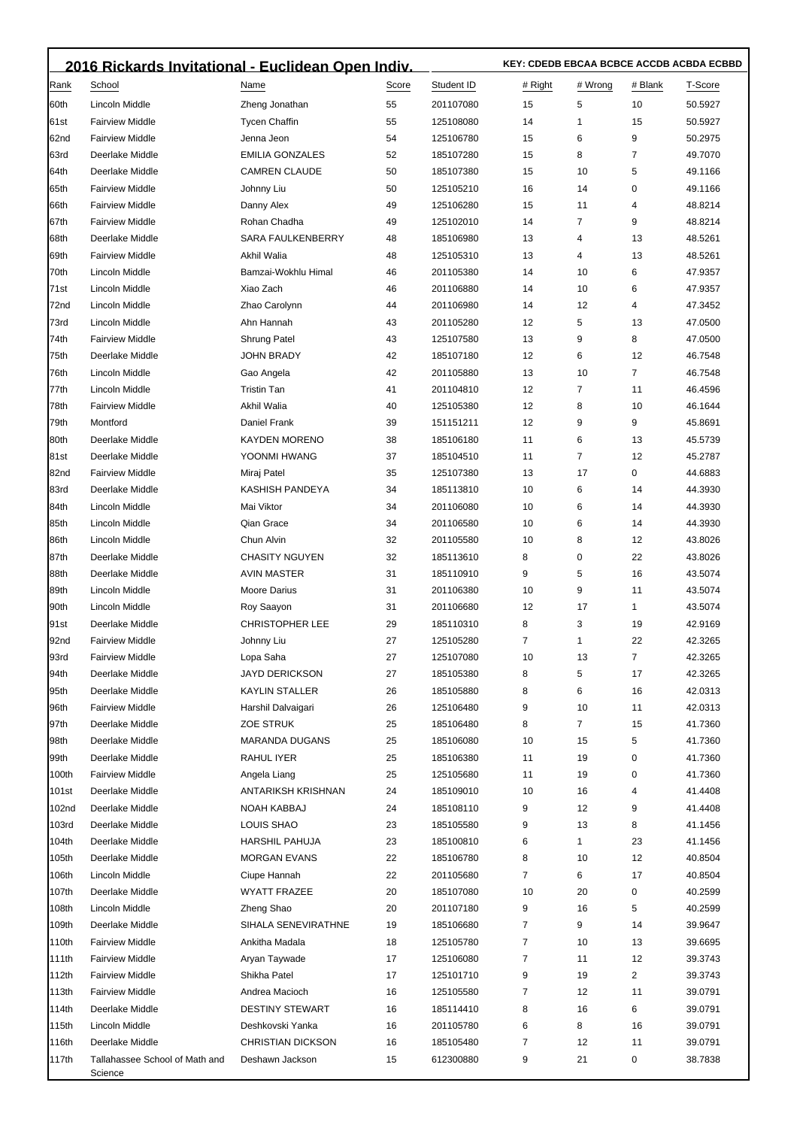|             | 2016 Rickards Invitational - Euclidean Open Indiv. |                          |       |            | KEY: CDEDB EBCAA BCBCE ACCDB ACBDA ECBBD |         |                |         |  |  |
|-------------|----------------------------------------------------|--------------------------|-------|------------|------------------------------------------|---------|----------------|---------|--|--|
| Rank        | School                                             | Name                     | Score | Student ID | # Right                                  | # Wrong | # Blank        | T-Score |  |  |
| 60th        | Lincoln Middle                                     | Zheng Jonathan           | 55    | 201107080  | 15                                       | 5       | 10             | 50.5927 |  |  |
| <b>61st</b> | <b>Fairview Middle</b>                             | <b>Tycen Chaffin</b>     | 55    | 125108080  | 14                                       | 1       | 15             | 50.5927 |  |  |
| 62nd        | <b>Fairview Middle</b>                             | Jenna Jeon               | 54    | 125106780  | 15                                       | 6       | 9              | 50.2975 |  |  |
| 63rd        | Deerlake Middle                                    | <b>EMILIA GONZALES</b>   | 52    | 185107280  | 15                                       | 8       | 7              | 49.7070 |  |  |
| 64th        | Deerlake Middle                                    | <b>CAMREN CLAUDE</b>     | 50    | 185107380  | 15                                       | 10      | 5              | 49.1166 |  |  |
| 65th        | <b>Fairview Middle</b>                             | Johnny Liu               | 50    | 125105210  | 16                                       | 14      | 0              | 49.1166 |  |  |
| 66th        | <b>Fairview Middle</b>                             | Danny Alex               | 49    | 125106280  | 15                                       | 11      | 4              | 48.8214 |  |  |
| <b>67th</b> | <b>Fairview Middle</b>                             | Rohan Chadha             | 49    | 125102010  | 14                                       | 7       | 9              | 48.8214 |  |  |
| 68th        | Deerlake Middle                                    | SARA FAULKENBERRY        | 48    | 185106980  | 13                                       | 4       | 13             | 48.5261 |  |  |
| 69th        | <b>Fairview Middle</b>                             | Akhil Walia              | 48    | 125105310  | 13                                       | 4       | 13             | 48.5261 |  |  |
| 70th        | Lincoln Middle                                     | Bamzai-Wokhlu Himal      | 46    | 201105380  | 14                                       | 10      | 6              | 47.9357 |  |  |
| 71st        | Lincoln Middle                                     | Xiao Zach                | 46    | 201106880  | 14                                       | 10      | 6              | 47.9357 |  |  |
| 72nd        | Lincoln Middle                                     | Zhao Carolynn            | 44    | 201106980  | 14                                       | 12      | 4              | 47.3452 |  |  |
| 73rd        | Lincoln Middle                                     | Ahn Hannah               | 43    | 201105280  | 12                                       | 5       | 13             | 47.0500 |  |  |
| 74th        | <b>Fairview Middle</b>                             | Shrung Patel             | 43    | 125107580  | 13                                       | 9       | 8              | 47.0500 |  |  |
| 75th        | Deerlake Middle                                    | <b>JOHN BRADY</b>        | 42    | 185107180  | 12                                       | 6       | 12             | 46.7548 |  |  |
| 76th        | Lincoln Middle                                     | Gao Angela               | 42    | 201105880  | 13                                       | 10      | $\overline{7}$ | 46.7548 |  |  |
| 77th        | Lincoln Middle                                     | <b>Tristin Tan</b>       | 41    | 201104810  | 12                                       | 7       | 11             | 46.4596 |  |  |
| 78th        | <b>Fairview Middle</b>                             | Akhil Walia              | 40    | 125105380  | 12                                       | 8       | 10             | 46.1644 |  |  |
| 79th        | Montford                                           | Daniel Frank             | 39    | 151151211  | 12                                       | 9       | 9              | 45.8691 |  |  |
| 80th        | Deerlake Middle                                    | <b>KAYDEN MORENO</b>     | 38    | 185106180  | 11                                       | 6       | 13             | 45.5739 |  |  |
| 81st        | Deerlake Middle                                    | YOONMI HWANG             | 37    | 185104510  | 11                                       | 7       | 12             | 45.2787 |  |  |
| 82nd        | <b>Fairview Middle</b>                             | Miraj Patel              | 35    | 125107380  | 13                                       | 17      | 0              | 44.6883 |  |  |
| 83rd        | Deerlake Middle                                    | <b>KASHISH PANDEYA</b>   | 34    | 185113810  | 10                                       | 6       | 14             | 44.3930 |  |  |
| 84th        | Lincoln Middle                                     | Mai Viktor               | 34    | 201106080  | 10                                       | 6       | 14             | 44.3930 |  |  |
| 85th        | Lincoln Middle                                     | Qian Grace               | 34    | 201106580  | 10                                       | 6       | 14             | 44.3930 |  |  |
| 86th        | Lincoln Middle                                     | Chun Alvin               | 32    | 201105580  | 10                                       | 8       | 12             | 43.8026 |  |  |
| 87th        | Deerlake Middle                                    | <b>CHASITY NGUYEN</b>    | 32    | 185113610  | 8                                        | 0       | 22             | 43.8026 |  |  |
| 88th        | Deerlake Middle                                    | <b>AVIN MASTER</b>       | 31    | 185110910  | 9                                        | 5       | 16             | 43.5074 |  |  |
| 89th        | <b>Lincoln Middle</b>                              | Moore Darius             | 31    | 201106380  | 10                                       | 9       | 11             | 43.5074 |  |  |
| 90th        | Lincoln Middle                                     | Roy Saayon               | 31    | 201106680  | 12                                       | 17      | $\mathbf{1}$   | 43.5074 |  |  |
| 191st       | Deerlake Middle                                    | <b>CHRISTOPHER LEE</b>   | 29    | 185110310  | 8                                        | 3       | 19             | 42.9169 |  |  |
| <b>92nd</b> | <b>Fairview Middle</b>                             | Johnny Liu               | 27    | 125105280  | 7                                        | 1       | 22             | 42.3265 |  |  |
| 93rd        | <b>Fairview Middle</b>                             | Lopa Saha                | 27    | 125107080  | 10                                       | 13      | 7              | 42.3265 |  |  |
| 94th        | Deerlake Middle                                    | JAYD DERICKSON           | 27    | 185105380  | 8                                        | 5       | 17             | 42.3265 |  |  |
| 95th        | Deerlake Middle                                    | <b>KAYLIN STALLER</b>    | 26    | 185105880  | 8                                        | 6       | 16             | 42.0313 |  |  |
| 96th        | <b>Fairview Middle</b>                             | Harshil Dalvaigari       | 26    | 125106480  | 9                                        | 10      | 11             | 42.0313 |  |  |
| 97th        | Deerlake Middle                                    | <b>ZOE STRUK</b>         | 25    | 185106480  | 8                                        | 7       | 15             | 41.7360 |  |  |
| 98th        | Deerlake Middle                                    | <b>MARANDA DUGANS</b>    | 25    | 185106080  | 10                                       | 15      | 5              | 41.7360 |  |  |
| 99th        | Deerlake Middle                                    | RAHUL IYER               | 25    | 185106380  | 11                                       | 19      | 0              | 41.7360 |  |  |
| 100th       | <b>Fairview Middle</b>                             | Angela Liang             | 25    | 125105680  | 11                                       | 19      | 0              | 41.7360 |  |  |
| 101st       | Deerlake Middle                                    | ANTARIKSH KRISHNAN       | 24    | 185109010  | 10                                       | 16      | 4              | 41.4408 |  |  |
| 102nd       | Deerlake Middle                                    | NOAH KABBAJ              | 24    | 185108110  | 9                                        | 12      | 9              | 41.4408 |  |  |
| 103rd       | Deerlake Middle                                    | LOUIS SHAO               | 23    | 185105580  | 9                                        | 13      | 8              | 41.1456 |  |  |
| 104th       | Deerlake Middle                                    | <b>HARSHIL PAHUJA</b>    | 23    | 185100810  | 6                                        | 1       | 23             | 41.1456 |  |  |
| 105th       | Deerlake Middle                                    | <b>MORGAN EVANS</b>      | 22    | 185106780  | 8                                        | 10      | 12             | 40.8504 |  |  |
| 106th       | Lincoln Middle                                     | Ciupe Hannah             | 22    | 201105680  | $\overline{7}$                           | 6       | 17             | 40.8504 |  |  |
| 107th       | Deerlake Middle                                    | WYATT FRAZEE             | 20    | 185107080  | 10                                       | 20      | 0              | 40.2599 |  |  |
| 108th       | Lincoln Middle                                     | Zheng Shao               | 20    | 201107180  | 9                                        | 16      | 5              | 40.2599 |  |  |
| 109th       | Deerlake Middle                                    | SIHALA SENEVIRATHNE      | 19    | 185106680  | 7                                        | 9       | 14             | 39.9647 |  |  |
| 110th       | <b>Fairview Middle</b>                             | Ankitha Madala           | 18    | 125105780  | 7                                        | 10      | 13             | 39.6695 |  |  |
| 111th       | <b>Fairview Middle</b>                             | Aryan Taywade            | 17    | 125106080  | 7                                        | 11      | 12             | 39.3743 |  |  |
| 112th       | <b>Fairview Middle</b>                             | Shikha Patel             | 17    | 125101710  | 9                                        | 19      | 2              | 39.3743 |  |  |
| 113th       | <b>Fairview Middle</b>                             | Andrea Macioch           | 16    | 125105580  | 7                                        | 12      | 11             | 39.0791 |  |  |
| 114th       | Deerlake Middle                                    | <b>DESTINY STEWART</b>   | 16    | 185114410  | 8                                        | 16      | 6              | 39.0791 |  |  |
| 115th       | Lincoln Middle                                     | Deshkovski Yanka         | 16    | 201105780  | 6                                        | 8       | 16             | 39.0791 |  |  |
| 116th       | Deerlake Middle                                    | <b>CHRISTIAN DICKSON</b> | 16    | 185105480  | 7                                        | 12      | 11             | 39.0791 |  |  |
| 117th       | Tallahassee School of Math and<br>Science          | Deshawn Jackson          | 15    | 612300880  | 9                                        | 21      | 0              | 38.7838 |  |  |